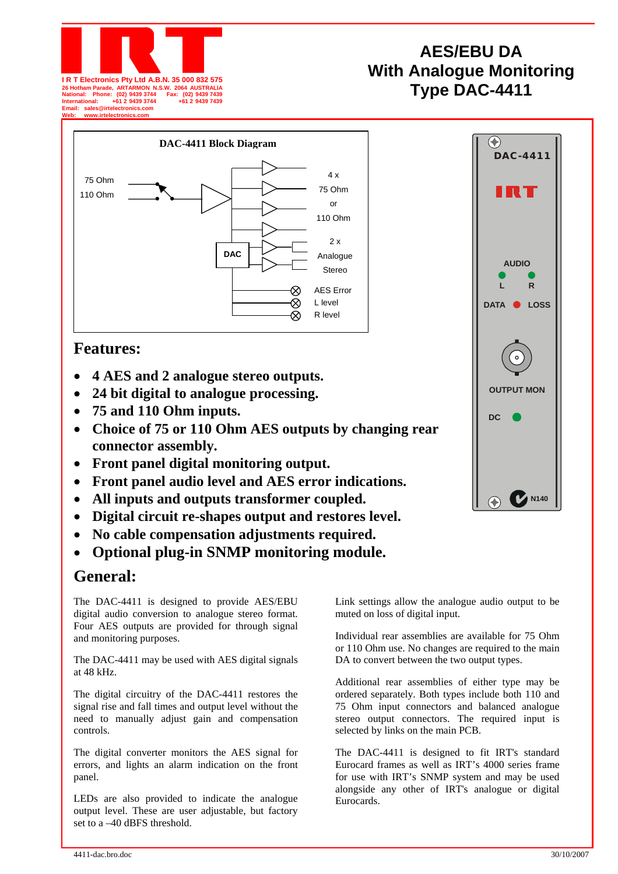

# **AES/EBU DA With Analogue Monitoring Type DAC-4411 I R T Electronics Pty Ltd A.B.N. 35 000 832 575 26 Hotham Parade, ARTARMON N.S.W. 2064 AUSTRALIA National: Phone: (02) 9439 3744 Fax: (02) 9439 7439**



## **Features:**

- **4 AES and 2 analogue stereo outputs.**
- **24 bit digital to analogue processing.**
- **75 and 110 Ohm inputs.**
- **Choice of 75 or 110 Ohm AES outputs by changing rear connector assembly.**
- **Front panel digital monitoring output.**
- **Front panel audio level and AES error indications.**
- **All inputs and outputs transformer coupled.**
- **Digital circuit re-shapes output and restores level.**
- **No cable compensation adjustments required.**
- **Optional plug-in SNMP monitoring module.**

# **General:**

The DAC-4411 is designed to provide AES/EBU digital audio conversion to analogue stereo format. Four AES outputs are provided for through signal and monitoring purposes.

The DAC-4411 may be used with AES digital signals at 48 kHz.

The digital circuitry of the DAC-4411 restores the signal rise and fall times and output level without the need to manually adjust gain and compensation controls.

The digital converter monitors the AES signal for errors, and lights an alarm indication on the front panel.

LEDs are also provided to indicate the analogue output level. These are user adjustable, but factory set to a –40 dBFS threshold.

Link settings allow the analogue audio output to be muted on loss of digital input.

Individual rear assemblies are available for 75 Ohm or 110 Ohm use. No changes are required to the main DA to convert between the two output types.

Additional rear assemblies of either type may be ordered separately. Both types include both 110 and 75 Ohm input connectors and balanced analogue stereo output connectors. The required input is selected by links on the main PCB.

The DAC-4411 is designed to fit IRT's standard Eurocard frames as well as IRT's 4000 series frame for use with IRT's SNMP system and may be used alongside any other of IRT's analogue or digital Eurocards.